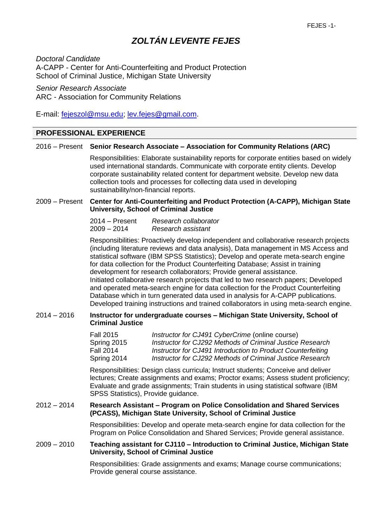## *ZOLTÁN LEVENTE FEJES*

*Doctoral Candidate* A-CAPP - Center for Anti-Counterfeiting and Product Protection School of Criminal Justice, Michigan State University

*Senior Research Associate* ARC - Association for Community Relations

E-mail: [fejeszol@msu.edu;](mailto:fejeszol@msu.edu) [lev.fejes@gmail.com.](mailto:lev.fejes@gmail.com)

### **PROFESSIONAL EXPERIENCE**

### 2016 – Present **Senior Research Associate – Association for Community Relations (ARC)**

Responsibilities: Elaborate sustainability reports for corporate entities based on widely used international standards. Communicate with corporate entity clients. Develop corporate sustainability related content for department website. Develop new data collection tools and processes for collecting data used in developing sustainability/non-financial reports.

### 2009 – Present **Center for Anti-Counterfeiting and Product Protection (A-CAPP), Michigan State University, School of Criminal Justice**

| $2014 -$ Present | Research collaborator |
|------------------|-----------------------|
| $2009 - 2014$    | Research assistant    |

Responsibilities: Proactively develop independent and collaborative research projects (including literature reviews and data analysis), Data management in MS Access and statistical software (IBM SPSS Statistics); Develop and operate meta-search engine for data collection for the Product Counterfeiting Database; Assist in training development for research collaborators; Provide general assistance. Initiated collaborative research projects that led to two research papers; Developed and operated meta-search engine for data collection for the Product Counterfeiting Database which in turn generated data used in analysis for A-CAPP publications. Developed training instructions and trained collaborators in using meta-search engine.

### 2014 – 2016 **Instructor for undergraduate courses – Michigan State University, School of Criminal Justice**

| <b>Fall 2015</b> | Instructor for CJ491 CyberCrime (online course)             |
|------------------|-------------------------------------------------------------|
| Spring 2015      | Instructor for CJ292 Methods of Criminal Justice Research   |
| Fall 2014        | Instructor for CJ491 Introduction to Product Counterfeiting |
| Spring 2014      | Instructor for CJ292 Methods of Criminal Justice Research   |

Responsibilities: Design class curricula; Instruct students; Conceive and deliver lectures; Create assignments and exams; Proctor exams; Assess student proficiency; Evaluate and grade assignments; Train students in using statistical software (IBM SPSS Statistics), Provide guidance.

### 2012 – 2014 **Research Assistant – Program on Police Consolidation and Shared Services (PCASS), Michigan State University, School of Criminal Justice**

Responsibilities: Develop and operate meta-search engine for data collection for the Program on Police Consolidation and Shared Services; Provide general assistance.

### 2009 – 2010 **Teaching assistant for CJ110 – Introduction to Criminal Justice, Michigan State University, School of Criminal Justice**

Responsibilities: Grade assignments and exams; Manage course communications; Provide general course assistance.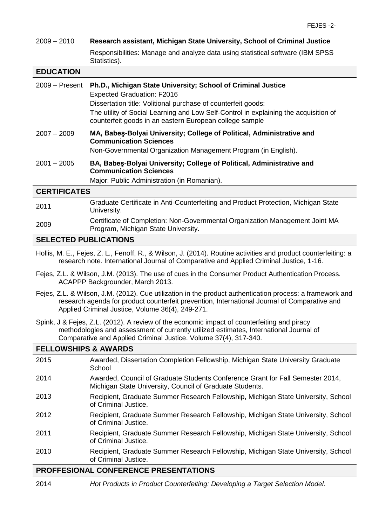# 2009 – 2010 **Research assistant, Michigan State University, School of Criminal Justice**

Responsibilities: Manage and analyze data using statistical software (IBM SPSS Statistics).

### **EDUCATION**

| $2009 -$ Present    | Ph.D., Michigan State University; School of Criminal Justice<br><b>Expected Graduation: F2016</b><br>Dissertation title: Volitional purchase of counterfeit goods:<br>The utility of Social Learning and Low Self-Control in explaining the acquisition of<br>counterfeit goods in an eastern European college sample |
|---------------------|-----------------------------------------------------------------------------------------------------------------------------------------------------------------------------------------------------------------------------------------------------------------------------------------------------------------------|
| $2007 - 2009$       | MA, Babeş-Bolyai University; College of Political, Administrative and<br><b>Communication Sciences</b><br>Non-Governmental Organization Management Program (in English).                                                                                                                                              |
| $2001 - 2005$       | BA, Babeş-Bolyai University; College of Political, Administrative and<br><b>Communication Sciences</b><br>Major: Public Administration (in Romanian).                                                                                                                                                                 |
| <b>CERTIFICATES</b> |                                                                                                                                                                                                                                                                                                                       |
| 2011                | Graduate Certificate in Anti-Counterfeiting and Product Protection, Michigan State<br>University.                                                                                                                                                                                                                     |

### <sup>2009</sup> Certificate of Completion: Non-Governmental Organization Management Joint MA Program, Michigan State University.

### **SELECTED PUBLICATIONS**

- Hollis, M. E., Fejes, Z. L., Fenoff, R., & Wilson, J. (2014). Routine activities and product counterfeiting: a research note. International Journal of Comparative and Applied Criminal Justice, 1-16.
- Fejes, Z.L. & Wilson, J.M. (2013). The use of cues in the Consumer Product Authentication Process. ACAPPP Backgrounder, March 2013.
- Fejes, Z.L. & Wilson, J.M. (2012). Cue utilization in the product authentication process: a framework and research agenda for product counterfeit prevention, International Journal of Comparative and Applied Criminal Justice, Volume 36(4), 249-271.
- Spink, J & Fejes, Z.L. (2012). A review of the economic impact of counterfeiting and piracy methodologies and assessment of currently utilized estimates, International Journal of Comparative and Applied Criminal Justice. Volume 37(4), 317-340.

### **FELLOWSHIPS & AWARDS** 2015 Awarded, Dissertation Completion Fellowship, Michigan State University Graduate **School** 2014 Awarded, Council of Graduate Students Conference Grant for Fall Semester 2014, Michigan State University, Council of Graduate Students. 2013 Recipient, Graduate Summer Research Fellowship, Michigan State University, School of Criminal Justice. 2012 Recipient, Graduate Summer Research Fellowship, Michigan State University, School of Criminal Justice. 2011 Recipient, Graduate Summer Research Fellowship, Michigan State University, School of Criminal Justice. 2010 Recipient, Graduate Summer Research Fellowship, Michigan State University, School of Criminal Justice.

### **PROFFESIONAL CONFERENCE PRESENTATIONS**

2014 *Hot Products in Product Counterfeiting: Developing a Target Selection Model*.